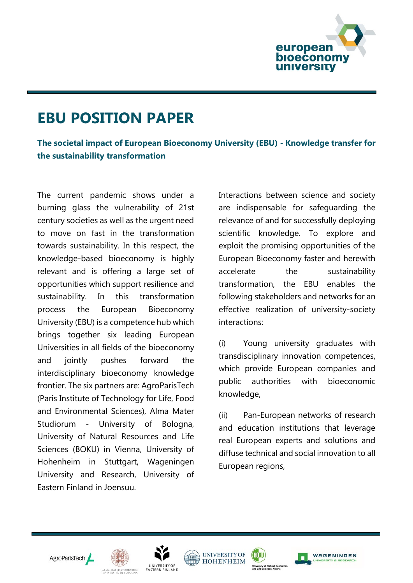

## **EBU POSITION PAPER**

**The societal impact of European Bioeconomy University (EBU) - Knowledge transfer for the sustainability transformation**

The current pandemic shows under a burning glass the vulnerability of 21st century societies as well as the urgent need to move on fast in the transformation towards sustainability. In this respect, the knowledge-based bioeconomy is highly relevant and is offering a large set of opportunities which support resilience and sustainability. In this transformation process the European Bioeconomy University (EBU) is a competence hub which brings together six leading European Universities in all fields of the bioeconomy and jointly pushes forward the interdisciplinary bioeconomy knowledge frontier. The six partners are: AgroParisTech (Paris Institute of Technology for Life, Food and Environmental Sciences), Alma Mater Studiorum - University of Bologna, University of Natural Resources and Life Sciences (BOKU) in Vienna, University of Hohenheim in Stuttgart, Wageningen University and Research, University of Eastern Finland in Joensuu.

Interactions between science and society are indispensable for safeguarding the relevance of and for successfully deploying scientific knowledge. To explore and exploit the promising opportunities of the European Bioeconomy faster and herewith accelerate the sustainability transformation, the EBU enables the following stakeholders and networks for an effective realization of university-society interactions:

(i) Young university graduates with transdisciplinary innovation competences, which provide European companies and public authorities with bioeconomic knowledge,

(ii) Pan-European networks of research and education institutions that leverage real European experts and solutions and diffuse technical and social innovation to all European regions,











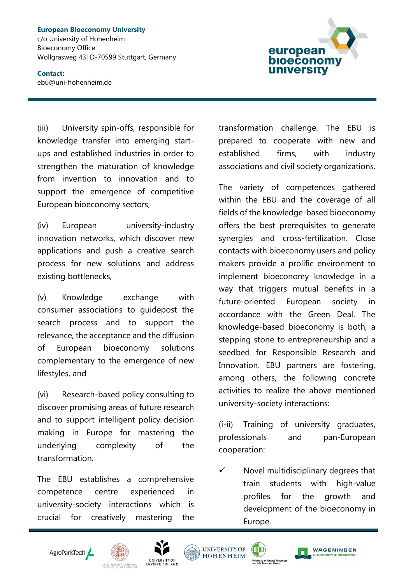**European Bioeconomy University**  c/o University of Hohenheim Bioeconomy Office Wollgrasweg 43| D-70599 Stuttgart, Germany

## **Contact:** ebu@uni-hohenheim.de



(iii) University spin-offs, responsible for knowledge transfer into emerging startups and established industries in order to strengthen the maturation of knowledge from invention to innovation and to support the emergence of competitive European bioeconomy sectors,

(iv) European university-industry innovation networks, which discover new applications and push a creative search process for new solutions and address existing bottlenecks,

(v) Knowledge exchange with consumer associations to guidepost the search process and to support the relevance, the acceptance and the diffusion of European bioeconomy solutions complementary to the emergence of new lifestyles, and

(vi) Research-based policy consulting to discover promising areas of future research and to support intelligent policy decision making in Europe for mastering the underlying complexity of the transformation.

The EBU establishes a comprehensive competence centre experienced in university-society interactions which is crucial for creatively mastering the transformation challenge. The EBU is prepared to cooperate with new and established firms, with industry associations and civil society organizations.

The variety of competences gathered within the EBU and the coverage of all fields of the knowledge-based bioeconomy offers the best prerequisites to generate synergies and cross-fertilization. Close contacts with bioeconomy users and policy makers provide a prolific environment to implement bioeconomy knowledge in a way that triggers mutual benefits in a future-oriented European society in accordance with the Green Deal. The knowledge-based bioeconomy is both, a stepping stone to entrepreneurship and a seedbed for Responsible Research and Innovation. EBU partners are fostering, among others, the following concrete activities to realize the above mentioned university-society interactions:

(i-ii) Training of university graduates, professionals and pan-European cooperation:

 $\checkmark$  Novel multidisciplinary degrees that train students with high-value profiles for the growth and development of the bioeconomy in Europe.